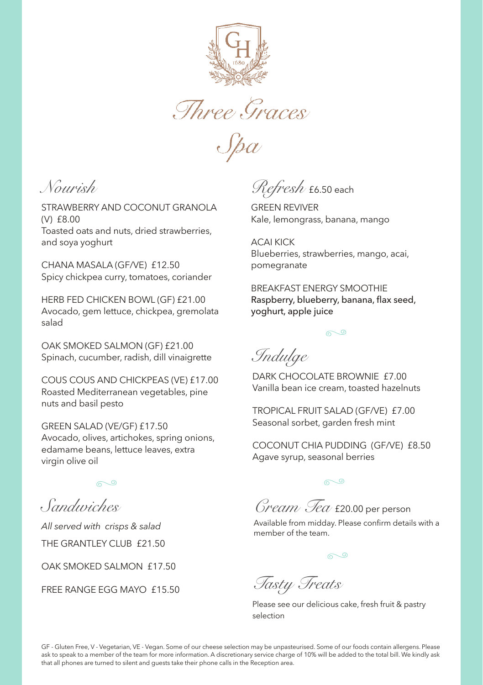

Three Graces

 $S\beta\alpha$ 

*Nourish*

STRAWBERRY AND COCONUT GRANOLA (V) £8.00 Toasted oats and nuts, dried strawberries, and soya yoghurt

CHANA MASALA (GF/VE) £12.50 Spicy chickpea curry, tomatoes, coriander

HERB FED CHICKEN BOWL (GF) £21.00 Avocado, gem lettuce, chickpea, gremolata salad

OAK SMOKED SALMON (GF) £21.00 Spinach, cucumber, radish, dill vinaigrette

COUS COUS AND CHICKPEAS (VE) £17.00 Roasted Mediterranean vegetables, pine nuts and basil pesto

GREEN SALAD (VE/GF) £17.50 Avocado, olives, artichokes, spring onions, edamame beans, lettuce leaves, extra virgin olive oil

*Sandwiches*

*All served with crisps & salad* THE GRANTLEY CLUB £21.50

OAK SMOKED SALMON £17.50

FREE RANGE EGG MAYO £15.50

*Refresh* £6.50 each

GREEN REVIVER Kale, lemongrass, banana, mango

ACAI KICK Blueberries, strawberries, mango, acai, pomegranate

BREAKFAST ENERGY SMOOTHIE Raspberry, blueberry, banana, flax seed, yoghurt, apple juice



*Indulge*

DARK CHOCOLATE BROWNIE £7.00 Vanilla bean ice cream, toasted hazelnuts

TROPICAL FRUIT SALAD (GF/VE) £7.00 Seasonal sorbet, garden fresh mint

COCONUT CHIA PUDDING (GF/VE) £8.50 Agave syrup, seasonal berries

ு

*Cream Tea* £20.00 per person

Available from midday. Please confirm details with a member of the team.

*Tasty Treats* 

Please see our delicious cake, fresh fruit & pastry selection

GF - Gluten Free, V - Vegetarian, VE - Vegan. Some of our cheese selection may be unpasteurised. Some of our foods contain allergens. Please ask to speak to a member of the team for more information. A discretionary service charge of 10% will be added to the total bill. We kindly ask that all phones are turned to silent and guests take their phone calls in the Reception area.